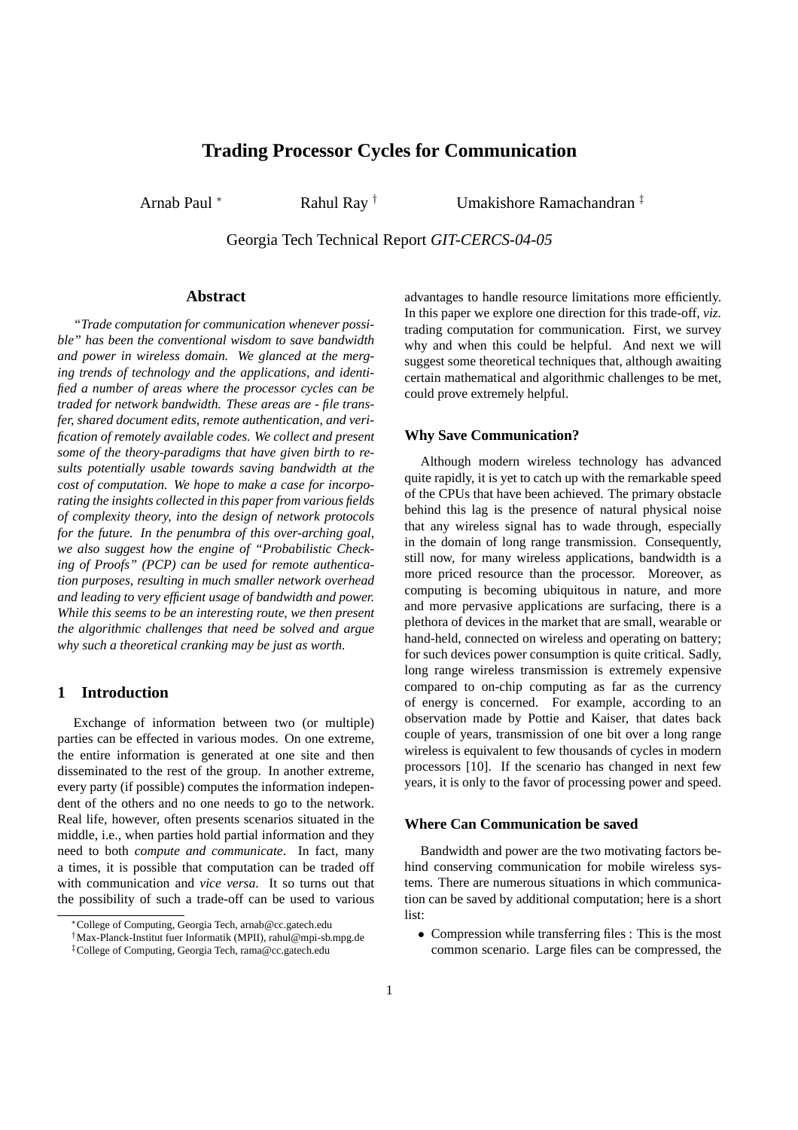# **Trading Processor Cycles for Communication**

Arnab Paul <sup>∗</sup> Rahul Ray <sup>†</sup> Umakishore Ramachandran <sup>‡</sup>

Georgia Tech Technical Report *GIT-CERCS-04-05*

#### **Abstract**

*"Trade computation for communication whenever possible" has been the conventional wisdom to save bandwidth and power in wireless domain. We glanced at the merging trends of technology and the applications, and identified a number of areas where the processor cycles can be traded for network bandwidth. These areas are - file transfer, shared document edits, remote authentication, and verification of remotely available codes. We collect and present some of the theory-paradigms that have given birth to results potentially usable towards saving bandwidth at the cost of computation. We hope to make a case for incorporating the insights collected in this paper from various fields of complexity theory, into the design of network protocols for the future. In the penumbra of this over-arching goal, we also suggest how the engine of "Probabilistic Checking of Proofs" (PCP) can be used for remote authentication purposes, resulting in much smaller network overhead and leading to very efficient usage of bandwidth and power. While this seems to be an interesting route, we then present the algorithmic challenges that need be solved and argue why such a theoretical cranking may be just as worth.*

## **1 Introduction**

Exchange of information between two (or multiple) parties can be effected in various modes. On one extreme, the entire information is generated at one site and then disseminated to the rest of the group. In another extreme, every party (if possible) computes the information independent of the others and no one needs to go to the network. Real life, however, often presents scenarios situated in the middle, i.e., when parties hold partial information and they need to both *compute and communicate*. In fact, many a times, it is possible that computation can be traded off with communication and *vice versa*. It so turns out that the possibility of such a trade-off can be used to various advantages to handle resource limitations more efficiently. In this paper we explore one direction for this trade-off, *viz.* trading computation for communication. First, we survey why and when this could be helpful. And next we will suggest some theoretical techniques that, although awaiting certain mathematical and algorithmic challenges to be met, could prove extremely helpful.

#### **Why Save Communication?**

Although modern wireless technology has advanced quite rapidly, it is yet to catch up with the remarkable speed of the CPUs that have been achieved. The primary obstacle behind this lag is the presence of natural physical noise that any wireless signal has to wade through, especially in the domain of long range transmission. Consequently, still now, for many wireless applications, bandwidth is a more priced resource than the processor. Moreover, as computing is becoming ubiquitous in nature, and more and more pervasive applications are surfacing, there is a plethora of devices in the market that are small, wearable or hand-held, connected on wireless and operating on battery; for such devices power consumption is quite critical. Sadly, long range wireless transmission is extremely expensive compared to on-chip computing as far as the currency of energy is concerned. For example, according to an observation made by Pottie and Kaiser, that dates back couple of years, transmission of one bit over a long range wireless is equivalent to few thousands of cycles in modern processors [10]. If the scenario has changed in next few years, it is only to the favor of processing power and speed.

### **Where Can Communication be saved**

Bandwidth and power are the two motivating factors behind conserving communication for mobile wireless systems. There are numerous situations in which communication can be saved by additional computation; here is a short list:

• Compression while transferring files : This is the most common scenario. Large files can be compressed, the

<sup>∗</sup>College of Computing, Georgia Tech, arnab@cc.gatech.edu

<sup>†</sup>Max-Planck-Institut fuer Informatik (MPII), rahul@mpi-sb.mpg.de

<sup>‡</sup>College of Computing, Georgia Tech, rama@cc.gatech.edu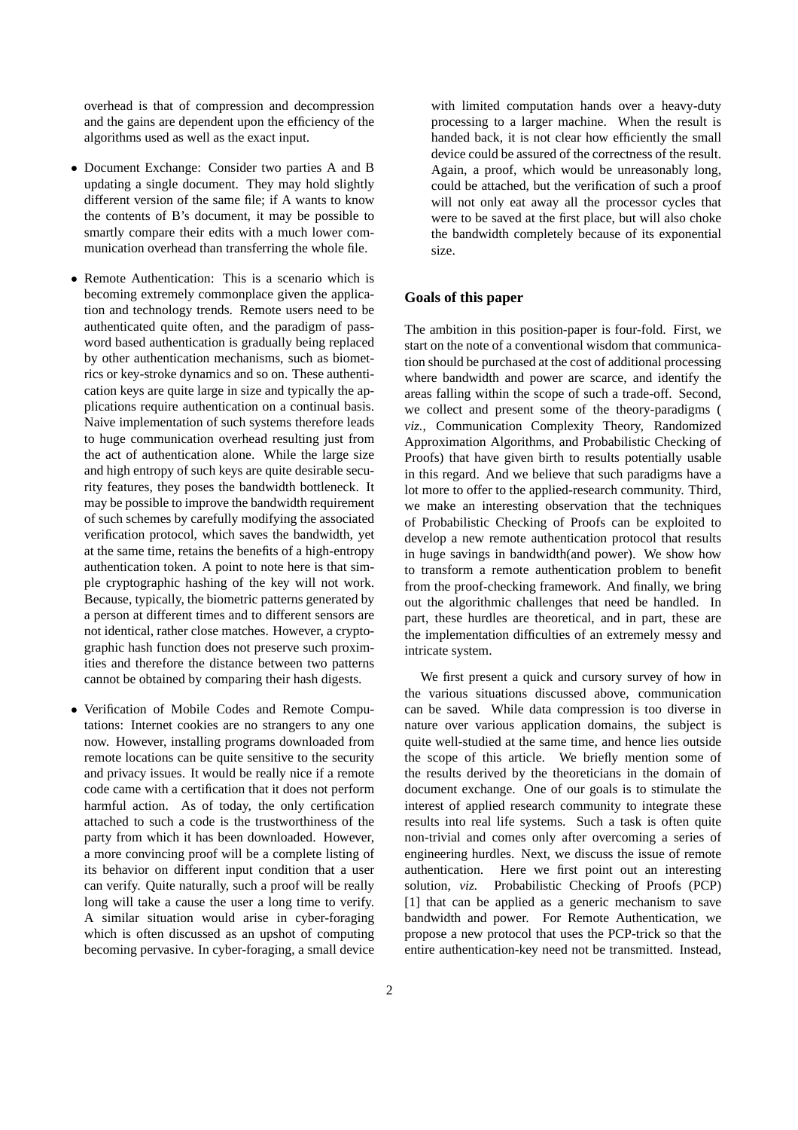overhead is that of compression and decompression and the gains are dependent upon the efficiency of the algorithms used as well as the exact input.

- Document Exchange: Consider two parties A and B updating a single document. They may hold slightly different version of the same file; if A wants to know the contents of B's document, it may be possible to smartly compare their edits with a much lower communication overhead than transferring the whole file.
- Remote Authentication: This is a scenario which is becoming extremely commonplace given the application and technology trends. Remote users need to be authenticated quite often, and the paradigm of password based authentication is gradually being replaced by other authentication mechanisms, such as biometrics or key-stroke dynamics and so on. These authentication keys are quite large in size and typically the applications require authentication on a continual basis. Naive implementation of such systems therefore leads to huge communication overhead resulting just from the act of authentication alone. While the large size and high entropy of such keys are quite desirable security features, they poses the bandwidth bottleneck. It may be possible to improve the bandwidth requirement of such schemes by carefully modifying the associated verification protocol, which saves the bandwidth, yet at the same time, retains the benefits of a high-entropy authentication token. A point to note here is that simple cryptographic hashing of the key will not work. Because, typically, the biometric patterns generated by a person at different times and to different sensors are not identical, rather close matches. However, a cryptographic hash function does not preserve such proximities and therefore the distance between two patterns cannot be obtained by comparing their hash digests.
- Verification of Mobile Codes and Remote Computations: Internet cookies are no strangers to any one now. However, installing programs downloaded from remote locations can be quite sensitive to the security and privacy issues. It would be really nice if a remote code came with a certification that it does not perform harmful action. As of today, the only certification attached to such a code is the trustworthiness of the party from which it has been downloaded. However, a more convincing proof will be a complete listing of its behavior on different input condition that a user can verify. Quite naturally, such a proof will be really long will take a cause the user a long time to verify. A similar situation would arise in cyber-foraging which is often discussed as an upshot of computing becoming pervasive. In cyber-foraging, a small device

with limited computation hands over a heavy-duty processing to a larger machine. When the result is handed back, it is not clear how efficiently the small device could be assured of the correctness of the result. Again, a proof, which would be unreasonably long, could be attached, but the verification of such a proof will not only eat away all the processor cycles that were to be saved at the first place, but will also choke the bandwidth completely because of its exponential size.

#### **Goals of this paper**

The ambition in this position-paper is four-fold. First, we start on the note of a conventional wisdom that communication should be purchased at the cost of additional processing where bandwidth and power are scarce, and identify the areas falling within the scope of such a trade-off. Second, we collect and present some of the theory-paradigms ( *viz.*, Communication Complexity Theory, Randomized Approximation Algorithms, and Probabilistic Checking of Proofs) that have given birth to results potentially usable in this regard. And we believe that such paradigms have a lot more to offer to the applied-research community. Third, we make an interesting observation that the techniques of Probabilistic Checking of Proofs can be exploited to develop a new remote authentication protocol that results in huge savings in bandwidth(and power). We show how to transform a remote authentication problem to benefit from the proof-checking framework. And finally, we bring out the algorithmic challenges that need be handled. In part, these hurdles are theoretical, and in part, these are the implementation difficulties of an extremely messy and intricate system.

We first present a quick and cursory survey of how in the various situations discussed above, communication can be saved. While data compression is too diverse in nature over various application domains, the subject is quite well-studied at the same time, and hence lies outside the scope of this article. We briefly mention some of the results derived by the theoreticians in the domain of document exchange. One of our goals is to stimulate the interest of applied research community to integrate these results into real life systems. Such a task is often quite non-trivial and comes only after overcoming a series of engineering hurdles. Next, we discuss the issue of remote authentication. Here we first point out an interesting solution, *viz.* Probabilistic Checking of Proofs (PCP) [1] that can be applied as a generic mechanism to save bandwidth and power. For Remote Authentication, we propose a new protocol that uses the PCP-trick so that the entire authentication-key need not be transmitted. Instead,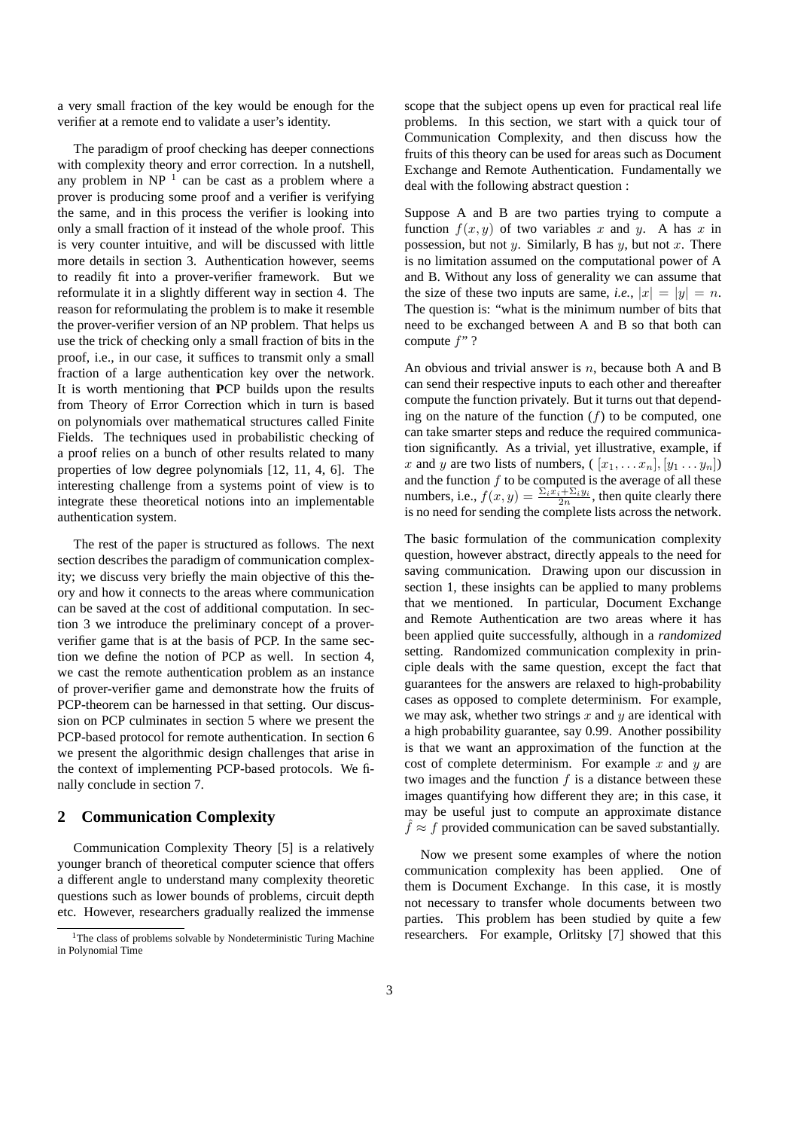a very small fraction of the key would be enough for the verifier at a remote end to validate a user's identity.

The paradigm of proof checking has deeper connections with complexity theory and error correction. In a nutshell, any problem in NP $<sup>1</sup>$  can be cast as a problem where a</sup> prover is producing some proof and a verifier is verifying the same, and in this process the verifier is looking into only a small fraction of it instead of the whole proof. This is very counter intuitive, and will be discussed with little more details in section 3. Authentication however, seems to readily fit into a prover-verifier framework. But we reformulate it in a slightly different way in section 4. The reason for reformulating the problem is to make it resemble the prover-verifier version of an NP problem. That helps us use the trick of checking only a small fraction of bits in the proof, i.e., in our case, it suffices to transmit only a small fraction of a large authentication key over the network. It is worth mentioning that **P**CP builds upon the results from Theory of Error Correction which in turn is based on polynomials over mathematical structures called Finite Fields. The techniques used in probabilistic checking of a proof relies on a bunch of other results related to many properties of low degree polynomials [12, 11, 4, 6]. The interesting challenge from a systems point of view is to integrate these theoretical notions into an implementable authentication system.

The rest of the paper is structured as follows. The next section describes the paradigm of communication complexity; we discuss very briefly the main objective of this theory and how it connects to the areas where communication can be saved at the cost of additional computation. In section 3 we introduce the preliminary concept of a proververifier game that is at the basis of PCP. In the same section we define the notion of PCP as well. In section 4, we cast the remote authentication problem as an instance of prover-verifier game and demonstrate how the fruits of PCP-theorem can be harnessed in that setting. Our discussion on PCP culminates in section 5 where we present the PCP-based protocol for remote authentication. In section 6 we present the algorithmic design challenges that arise in the context of implementing PCP-based protocols. We finally conclude in section 7.

## **2 Communication Complexity**

Communication Complexity Theory [5] is a relatively younger branch of theoretical computer science that offers a different angle to understand many complexity theoretic questions such as lower bounds of problems, circuit depth etc. However, researchers gradually realized the immense scope that the subject opens up even for practical real life problems. In this section, we start with a quick tour of Communication Complexity, and then discuss how the fruits of this theory can be used for areas such as Document Exchange and Remote Authentication. Fundamentally we deal with the following abstract question :

Suppose A and B are two parties trying to compute a function  $f(x, y)$  of two variables x and y. A has x in possession, but not y. Similarly, B has y, but not x. There is no limitation assumed on the computational power of A and B. Without any loss of generality we can assume that the size of these two inputs are same, *i.e.*,  $|x| = |y| = n$ . The question is: "what is the minimum number of bits that need to be exchanged between A and B so that both can compute  $f$ "?

An obvious and trivial answer is  $n$ , because both A and B can send their respective inputs to each other and thereafter compute the function privately. But it turns out that depending on the nature of the function  $(f)$  to be computed, one can take smarter steps and reduce the required communication significantly. As a trivial, yet illustrative, example, if x and y are two lists of numbers,  $([x_1, \ldots x_n], [y_1 \ldots y_n])$ and the function  $f$  to be computed is the average of all these numbers, i.e.,  $f(x, y) = \frac{\sum_i x_i + \sum_i y_i}{2n}$ , then quite clearly there is no need for sending the complete lists across the network.

The basic formulation of the communication complexity question, however abstract, directly appeals to the need for saving communication. Drawing upon our discussion in section 1, these insights can be applied to many problems that we mentioned. In particular, Document Exchange and Remote Authentication are two areas where it has been applied quite successfully, although in a *randomized* setting. Randomized communication complexity in principle deals with the same question, except the fact that guarantees for the answers are relaxed to high-probability cases as opposed to complete determinism. For example, we may ask, whether two strings x and  $y$  are identical with a high probability guarantee, say 0.99. Another possibility is that we want an approximation of the function at the cost of complete determinism. For example x and y are two images and the function  $f$  is a distance between these images quantifying how different they are; in this case, it may be useful just to compute an approximate distance  $\hat{f} \approx f$  provided communication can be saved substantially.

Now we present some examples of where the notion communication complexity has been applied. One of them is Document Exchange. In this case, it is mostly not necessary to transfer whole documents between two parties. This problem has been studied by quite a few researchers. For example, Orlitsky [7] showed that this

<sup>&</sup>lt;sup>1</sup>The class of problems solvable by Nondeterministic Turing Machine in Polynomial Time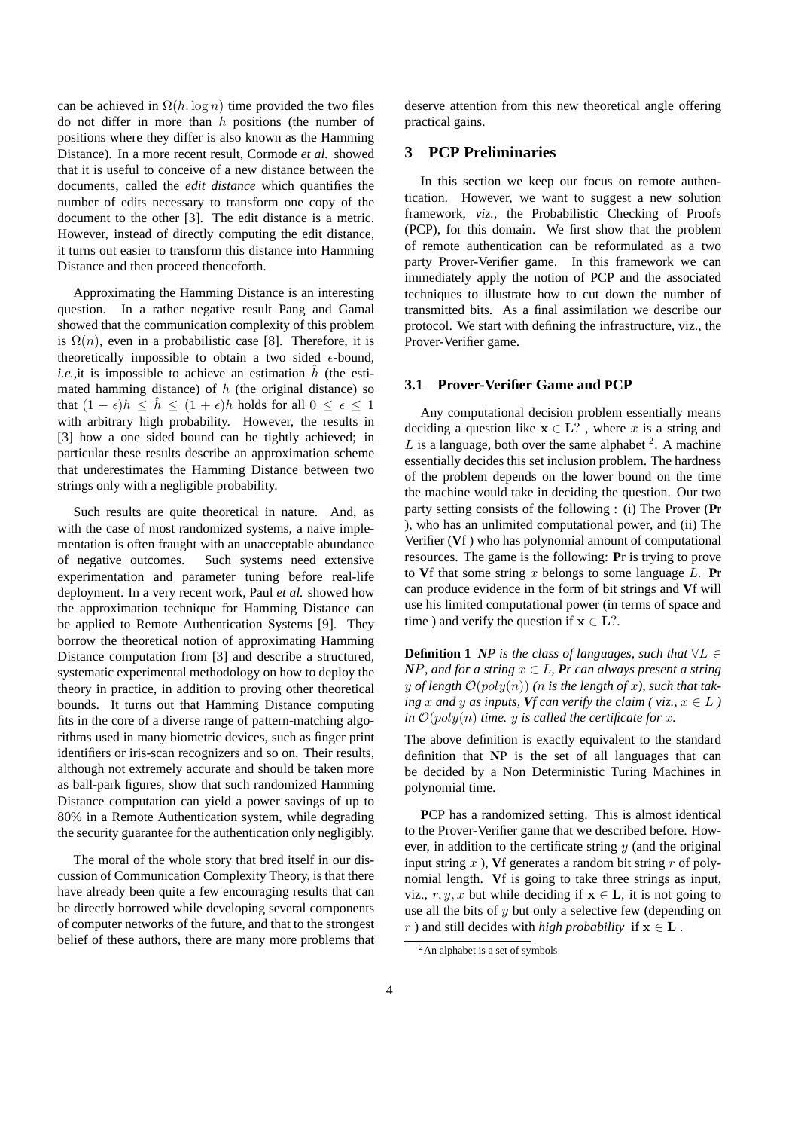can be achieved in  $\Omega(h \log n)$  time provided the two files do not differ in more than  $h$  positions (the number of positions where they differ is also known as the Hamming Distance). In a more recent result, Cormode *et al.* showed that it is useful to conceive of a new distance between the documents, called the *edit distance* which quantifies the number of edits necessary to transform one copy of the document to the other [3]. The edit distance is a metric. However, instead of directly computing the edit distance, it turns out easier to transform this distance into Hamming Distance and then proceed thenceforth.

Approximating the Hamming Distance is an interesting question. In a rather negative result Pang and Gamal showed that the communication complexity of this problem is  $\Omega(n)$ , even in a probabilistic case [8]. Therefore, it is theoretically impossible to obtain a two sided  $\epsilon$ -bound, *i.e.*, it is impossible to achieve an estimation  $\hat{h}$  (the estimated hamming distance) of  $h$  (the original distance) so that  $(1 - \epsilon)h \leq \hat{h} \leq (1 + \epsilon)h$  holds for all  $0 \leq \epsilon \leq 1$ with arbitrary high probability. However, the results in [3] how a one sided bound can be tightly achieved; in particular these results describe an approximation scheme that underestimates the Hamming Distance between two strings only with a negligible probability.

Such results are quite theoretical in nature. And, as with the case of most randomized systems, a naive implementation is often fraught with an unacceptable abundance of negative outcomes. Such systems need extensive experimentation and parameter tuning before real-life deployment. In a very recent work, Paul *et al.* showed how the approximation technique for Hamming Distance can be applied to Remote Authentication Systems [9]. They borrow the theoretical notion of approximating Hamming Distance computation from [3] and describe a structured, systematic experimental methodology on how to deploy the theory in practice, in addition to proving other theoretical bounds. It turns out that Hamming Distance computing fits in the core of a diverse range of pattern-matching algorithms used in many biometric devices, such as finger print identifiers or iris-scan recognizers and so on. Their results, although not extremely accurate and should be taken more as ball-park figures, show that such randomized Hamming Distance computation can yield a power savings of up to 80% in a Remote Authentication system, while degrading the security guarantee for the authentication only negligibly.

The moral of the whole story that bred itself in our discussion of Communication Complexity Theory, is that there have already been quite a few encouraging results that can be directly borrowed while developing several components of computer networks of the future, and that to the strongest belief of these authors, there are many more problems that deserve attention from this new theoretical angle offering practical gains.

# **3 PCP Preliminaries**

In this section we keep our focus on remote authentication. However, we want to suggest a new solution framework, *viz.*, the Probabilistic Checking of Proofs (PCP), for this domain. We first show that the problem of remote authentication can be reformulated as a two party Prover-Verifier game. In this framework we can immediately apply the notion of PCP and the associated techniques to illustrate how to cut down the number of transmitted bits. As a final assimilation we describe our protocol. We start with defining the infrastructure, viz., the Prover-Verifier game.

## **3.1 Prover-Verifier Game and PCP**

Any computational decision problem essentially means deciding a question like  $x \in L$ ?, where x is a string and  $L$  is a language, both over the same alphabet  $2$ . A machine essentially decides this set inclusion problem. The hardness of the problem depends on the lower bound on the time the machine would take in deciding the question. Our two party setting consists of the following : (i) The Prover (**P**r ), who has an unlimited computational power, and (ii) The Verifier (**V**f ) who has polynomial amount of computational resources. The game is the following: **P**r is trying to prove to **V**f that some string x belongs to some language  $L$ . **Pr** can produce evidence in the form of bit strings and **V**f will use his limited computational power (in terms of space and time ) and verify the question if  $x \in L$ ?.

**Definition 1** *NP* is the class of languages, such that  $\forall L \in$ *NP, and for a string*  $x \in L$ *, Pr can always present a string* y of length  $\mathcal{O}(poly(n))$  (*n* is the length of *x*), such that tak*ing* x and y as inputs, *Vf* can verify the claim ( viz.,  $x \in L$  ) *in*  $\mathcal{O}(poly(n))$  *time. y is called the certificate for x.* 

The above definition is exactly equivalent to the standard definition that **N**P is the set of all languages that can be decided by a Non Deterministic Turing Machines in polynomial time.

**P**CP has a randomized setting. This is almost identical to the Prover-Verifier game that we described before. However, in addition to the certificate string  $y$  (and the original input string  $x$ ), Vf generates a random bit string  $r$  of polynomial length. **V**f is going to take three strings as input, viz., r, y, x but while deciding if  $x \in L$ , it is not going to use all the bits of  $y$  but only a selective few (depending on r) and still decides with *high probability* if  $x \in L$ .

<sup>2</sup>An alphabet is a set of symbols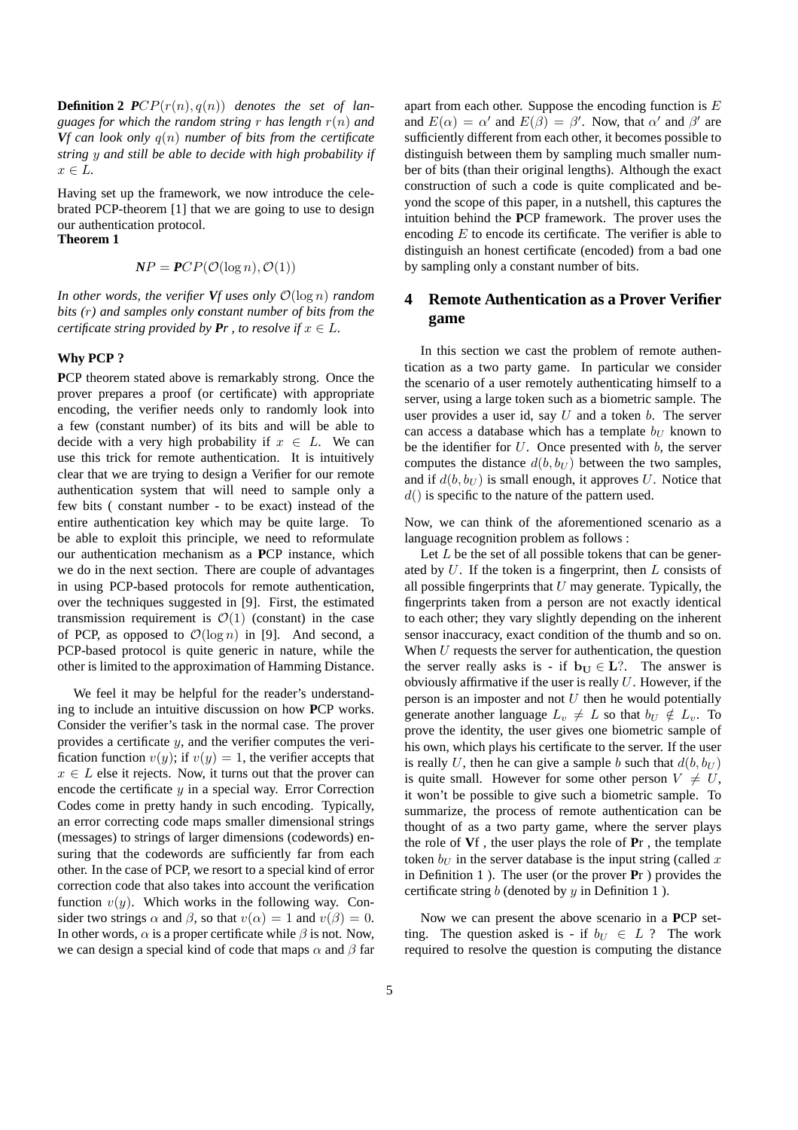**Definition 2**  $PCP(r(n), q(n))$  denotes the set of lan*guages for which the random string* r *has length* r(n) *and Vf can look only* q(n) *number of bits from the certificate string* y *and still be able to decide with high probability if*  $x \in L$ .

Having set up the framework, we now introduce the celebrated PCP-theorem [1] that we are going to use to design our authentication protocol.

**Theorem 1**

$$
NP = PCP(\mathcal{O}(\log n), \mathcal{O}(1))
$$

*In other words, the verifier*  $Vf$  uses only  $\mathcal{O}(\log n)$  *random bits (*r*) and samples only constant number of bits from the certificate string provided by*  $Pr$ , to resolve if  $x \in L$ .

#### **Why PCP ?**

**P**CP theorem stated above is remarkably strong. Once the prover prepares a proof (or certificate) with appropriate encoding, the verifier needs only to randomly look into a few (constant number) of its bits and will be able to decide with a very high probability if  $x \in L$ . We can use this trick for remote authentication. It is intuitively clear that we are trying to design a Verifier for our remote authentication system that will need to sample only a few bits ( constant number - to be exact) instead of the entire authentication key which may be quite large. To be able to exploit this principle, we need to reformulate our authentication mechanism as a **P**CP instance, which we do in the next section. There are couple of advantages in using PCP-based protocols for remote authentication, over the techniques suggested in [9]. First, the estimated transmission requirement is  $\mathcal{O}(1)$  (constant) in the case of PCP, as opposed to  $\mathcal{O}(\log n)$  in [9]. And second, a PCP-based protocol is quite generic in nature, while the other is limited to the approximation of Hamming Distance.

We feel it may be helpful for the reader's understanding to include an intuitive discussion on how **P**CP works. Consider the verifier's task in the normal case. The prover provides a certificate  $y$ , and the verifier computes the verification function  $v(y)$ ; if  $v(y) = 1$ , the verifier accepts that  $x \in L$  else it rejects. Now, it turns out that the prover can encode the certificate  $y$  in a special way. Error Correction Codes come in pretty handy in such encoding. Typically, an error correcting code maps smaller dimensional strings (messages) to strings of larger dimensions (codewords) ensuring that the codewords are sufficiently far from each other. In the case of PCP, we resort to a special kind of error correction code that also takes into account the verification function  $v(y)$ . Which works in the following way. Consider two strings  $\alpha$  and  $\beta$ , so that  $v(\alpha) = 1$  and  $v(\beta) = 0$ . In other words,  $\alpha$  is a proper certificate while  $\beta$  is not. Now, we can design a special kind of code that maps  $\alpha$  and  $\beta$  far apart from each other. Suppose the encoding function is  $E$ and  $E(\alpha) = \alpha'$  and  $E(\beta) = \beta'$ . Now, that  $\alpha'$  and  $\beta'$  are sufficiently different from each other, it becomes possible to distinguish between them by sampling much smaller number of bits (than their original lengths). Although the exact construction of such a code is quite complicated and beyond the scope of this paper, in a nutshell, this captures the intuition behind the **P**CP framework. The prover uses the encoding  $E$  to encode its certificate. The verifier is able to distinguish an honest certificate (encoded) from a bad one by sampling only a constant number of bits.

# **4 Remote Authentication as a Prover Verifier game**

In this section we cast the problem of remote authentication as a two party game. In particular we consider the scenario of a user remotely authenticating himself to a server, using a large token such as a biometric sample. The user provides a user id, say  $U$  and a token  $b$ . The server can access a database which has a template  $b_U$  known to be the identifier for  $U$ . Once presented with  $b$ , the server computes the distance  $d(b, b_U)$  between the two samples, and if  $d(b, b_U)$  is small enough, it approves U. Notice that  $d()$  is specific to the nature of the pattern used.

Now, we can think of the aforementioned scenario as a language recognition problem as follows :

Let  $L$  be the set of all possible tokens that can be generated by  $U$ . If the token is a fingerprint, then  $L$  consists of all possible fingerprints that  $U$  may generate. Typically, the fingerprints taken from a person are not exactly identical to each other; they vary slightly depending on the inherent sensor inaccuracy, exact condition of the thumb and so on. When  $U$  requests the server for authentication, the question the server really asks is - if  $b_U \in L$ ?. The answer is obviously affirmative if the user is really  $U$ . However, if the person is an imposter and not  $U$  then he would potentially generate another language  $L_v \neq L$  so that  $b_U \notin L_v$ . To prove the identity, the user gives one biometric sample of his own, which plays his certificate to the server. If the user is really U, then he can give a sample b such that  $d(b, b_U)$ is quite small. However for some other person  $V \neq U$ , it won't be possible to give such a biometric sample. To summarize, the process of remote authentication can be thought of as a two party game, where the server plays the role of **V**f , the user plays the role of **P**r , the template token  $b_U$  in the server database is the input string (called x in Definition 1 ). The user (or the prover **P**r ) provides the certificate string  $b$  (denoted by  $y$  in Definition 1).

Now we can present the above scenario in a **P**CP setting. The question asked is - if  $b_U \in L$  ? The work required to resolve the question is computing the distance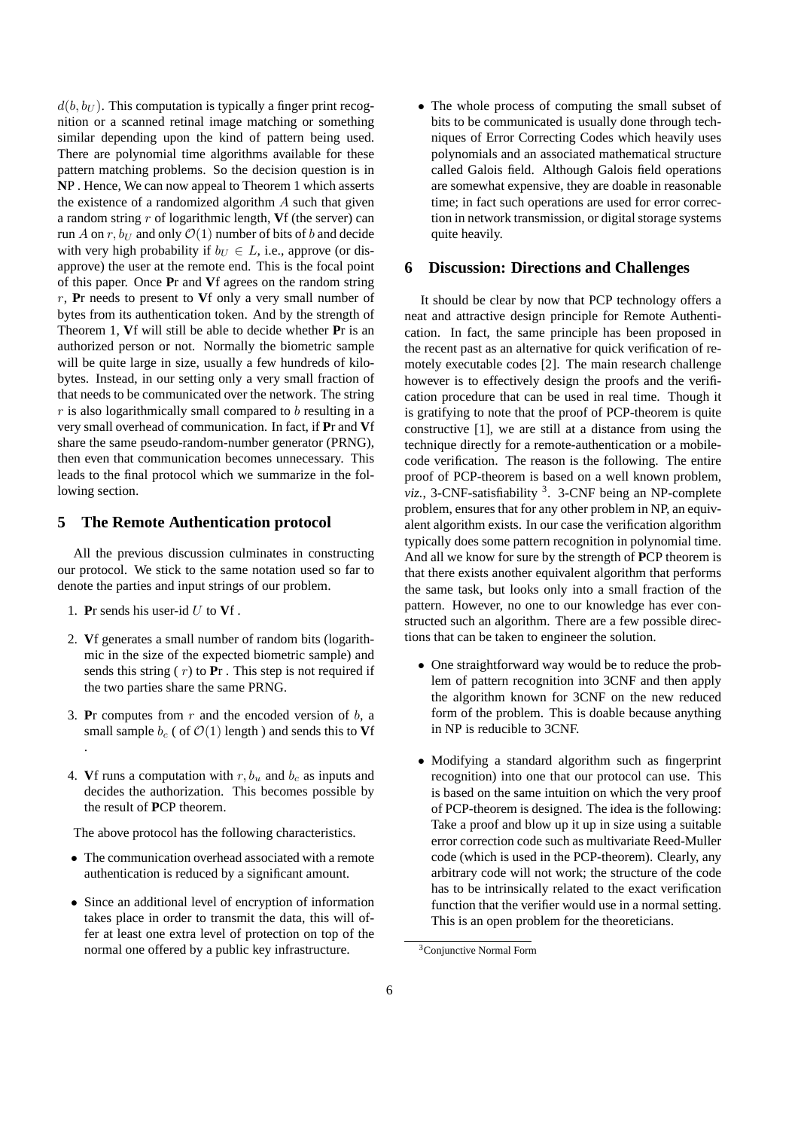$d(b, b_U)$ . This computation is typically a finger print recognition or a scanned retinal image matching or something similar depending upon the kind of pattern being used. There are polynomial time algorithms available for these pattern matching problems. So the decision question is in **N**P . Hence, We can now appeal to Theorem 1 which asserts the existence of a randomized algorithm A such that given a random string r of logarithmic length, **V**f (the server) can run A on r,  $b_U$  and only  $\mathcal{O}(1)$  number of bits of b and decide with very high probability if  $b_U \in L$ , i.e., approve (or disapprove) the user at the remote end. This is the focal point of this paper. Once **P**r and **V**f agrees on the random string r, **P**r needs to present to **V**f only a very small number of bytes from its authentication token. And by the strength of Theorem 1, **V**f will still be able to decide whether **P**r is an authorized person or not. Normally the biometric sample will be quite large in size, usually a few hundreds of kilobytes. Instead, in our setting only a very small fraction of that needs to be communicated over the network. The string  $r$  is also logarithmically small compared to  $b$  resulting in a very small overhead of communication. In fact, if **P**r and **V**f share the same pseudo-random-number generator (PRNG), then even that communication becomes unnecessary. This leads to the final protocol which we summarize in the following section.

### **5 The Remote Authentication protocol**

All the previous discussion culminates in constructing our protocol. We stick to the same notation used so far to denote the parties and input strings of our problem.

- 1. **P**r sends his user-id U to **V**f .
- 2. **V**f generates a small number of random bits (logarithmic in the size of the expected biometric sample) and sends this string ( r) to **P**r . This step is not required if the two parties share the same PRNG.
- 3. **P**r computes from  $r$  and the encoded version of  $b$ , a small sample  $b_c$  ( of  $\mathcal{O}(1)$  length ) and sends this to **V**f .
- 4. **V**f runs a computation with  $r, b_u$  and  $b_c$  as inputs and decides the authorization. This becomes possible by the result of **P**CP theorem.

The above protocol has the following characteristics.

- The communication overhead associated with a remote authentication is reduced by a significant amount.
- Since an additional level of encryption of information takes place in order to transmit the data, this will offer at least one extra level of protection on top of the normal one offered by a public key infrastructure.

• The whole process of computing the small subset of bits to be communicated is usually done through techniques of Error Correcting Codes which heavily uses polynomials and an associated mathematical structure called Galois field. Although Galois field operations are somewhat expensive, they are doable in reasonable time; in fact such operations are used for error correction in network transmission, or digital storage systems quite heavily.

#### **6 Discussion: Directions and Challenges**

It should be clear by now that PCP technology offers a neat and attractive design principle for Remote Authentication. In fact, the same principle has been proposed in the recent past as an alternative for quick verification of remotely executable codes [2]. The main research challenge however is to effectively design the proofs and the verification procedure that can be used in real time. Though it is gratifying to note that the proof of PCP-theorem is quite constructive [1], we are still at a distance from using the technique directly for a remote-authentication or a mobilecode verification. The reason is the following. The entire proof of PCP-theorem is based on a well known problem, viz., 3-CNF-satisfiability <sup>3</sup>. 3-CNF being an NP-complete problem, ensures that for any other problem in NP, an equivalent algorithm exists. In our case the verification algorithm typically does some pattern recognition in polynomial time. And all we know for sure by the strength of **P**CP theorem is that there exists another equivalent algorithm that performs the same task, but looks only into a small fraction of the pattern. However, no one to our knowledge has ever constructed such an algorithm. There are a few possible directions that can be taken to engineer the solution.

- One straightforward way would be to reduce the problem of pattern recognition into 3CNF and then apply the algorithm known for 3CNF on the new reduced form of the problem. This is doable because anything in NP is reducible to 3CNF.
- Modifying a standard algorithm such as fingerprint recognition) into one that our protocol can use. This is based on the same intuition on which the very proof of PCP-theorem is designed. The idea is the following: Take a proof and blow up it up in size using a suitable error correction code such as multivariate Reed-Muller code (which is used in the PCP-theorem). Clearly, any arbitrary code will not work; the structure of the code has to be intrinsically related to the exact verification function that the verifier would use in a normal setting. This is an open problem for the theoreticians.

<sup>3</sup>Conjunctive Normal Form